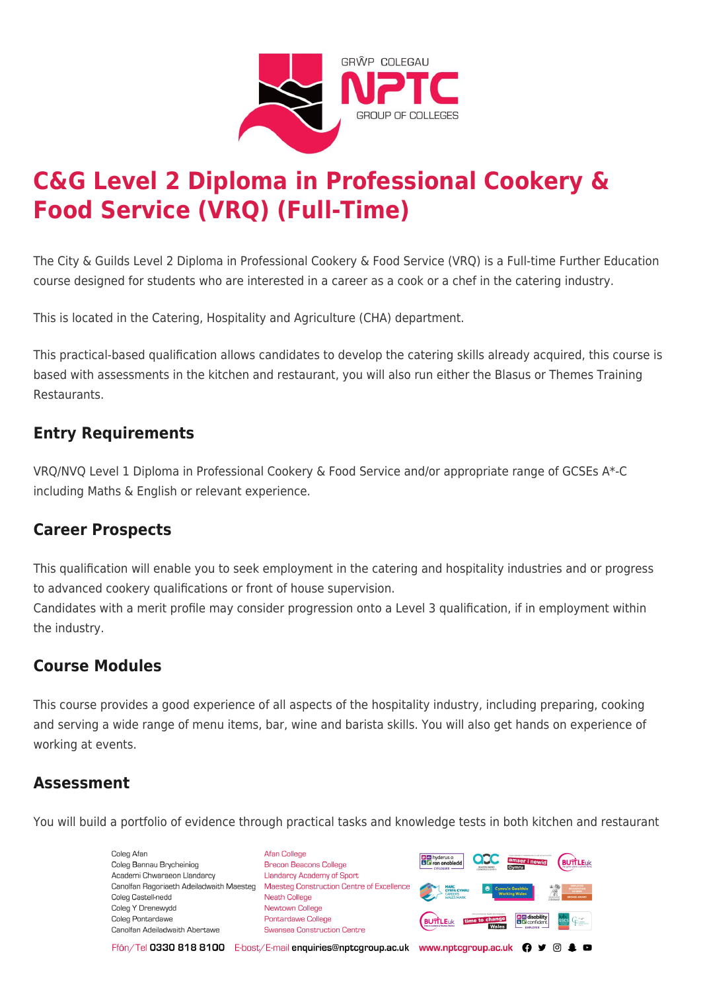

# **C&G Level 2 Diploma in Professional Cookery & Food Service (VRQ) (Full-Time)**

The City & Guilds Level 2 Diploma in Professional Cookery & Food Service (VRQ) is a Full-time Further Education course designed for students who are interested in a career as a cook or a chef in the catering industry.

This is located in the Catering, Hospitality and Agriculture (CHA) department.

This practical-based qualification allows candidates to develop the catering skills already acquired, this course is based with assessments in the kitchen and restaurant, you will also run either the Blasus or Themes Training Restaurants.

## **Entry Requirements**

VRQ/NVQ Level 1 Diploma in Professional Cookery & Food Service and/or appropriate range of GCSEs A\*-C including Maths & English or relevant experience.

# **Career Prospects**

This qualification will enable you to seek employment in the catering and hospitality industries and or progress to advanced cookery qualifications or front of house supervision.

Candidates with a merit profile may consider progression onto a Level 3 qualification, if in employment within the industry.

# **Course Modules**

This course provides a good experience of all aspects of the hospitality industry, including preparing, cooking and serving a wide range of menu items, bar, wine and barista skills. You will also get hands on experience of working at events.

### **Assessment**

You will build a portfolio of evidence through practical tasks and knowledge tests in both kitchen and restaurant

Coleg Afan Coleg Bannau Brycheiniog Academi Chwaraeon Llandarcy Canolfan Ragoriaeth Adeiladwaith Maesteg Coleg Castell-nedd Coleg Y Drenewydd Coleg Pontardawe Canolfan Adeiladwaith Abertawe

**Afan College** Brecon Beacons College **Llandarcy Academy of Sport** Maesteg Construction Centre of Excellence Neath College Newtown College **Pontardawe College** Swansea Construction Centre



Ffôn/Tel 0330 818 8100 E-bost/E-mail enquiries@nptcgroup.ac.uk www.nptcgroup.ac.uk ? • © \$